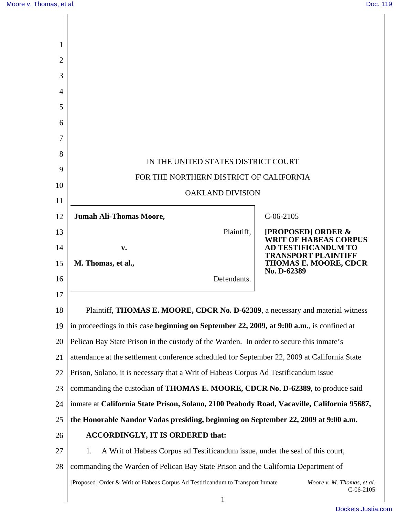| 1  |                                                                                              |                                                               |  |
|----|----------------------------------------------------------------------------------------------|---------------------------------------------------------------|--|
| 2  |                                                                                              |                                                               |  |
| 3  |                                                                                              |                                                               |  |
| 4  |                                                                                              |                                                               |  |
| 5  |                                                                                              |                                                               |  |
| 6  |                                                                                              |                                                               |  |
| 7  |                                                                                              |                                                               |  |
| 8  | IN THE UNITED STATES DISTRICT COURT                                                          |                                                               |  |
| 9  | FOR THE NORTHERN DISTRICT OF CALIFORNIA                                                      |                                                               |  |
| 10 | <b>OAKLAND DIVISION</b>                                                                      |                                                               |  |
| 11 |                                                                                              |                                                               |  |
| 12 | <b>Jumah Ali-Thomas Moore,</b>                                                               | $C-06-2105$                                                   |  |
| 13 | Plaintiff,                                                                                   | <b>[PROPOSED] ORDER &amp;</b><br><b>WRIT OF HABEAS CORPUS</b> |  |
| 14 | $\mathbf{v}$ .                                                                               | <b>AD TESTIFICANDUM TO</b><br><b>TRANSPORT PLAINTIFF</b>      |  |
| 15 | M. Thomas, et al.,                                                                           | THOMAS E. MOORE, CDCR<br>No. D-62389                          |  |
| 16 | Defendants.                                                                                  |                                                               |  |
| 17 |                                                                                              |                                                               |  |
| 18 | Plaintiff, THOMAS E. MOORE, CDCR No. D-62389, a necessary and material witness               |                                                               |  |
| 19 | in proceedings in this case beginning on September 22, 2009, at 9:00 a.m., is confined at    |                                                               |  |
| 20 | Pelican Bay State Prison in the custody of the Warden. In order to secure this inmate's      |                                                               |  |
| 21 | attendance at the settlement conference scheduled for September 22, 2009 at California State |                                                               |  |
| 22 | Prison, Solano, it is necessary that a Writ of Habeas Corpus Ad Testificandum issue          |                                                               |  |
| 23 | commanding the custodian of <b>THOMAS E. MOORE, CDCR No. D-62389</b> , to produce said       |                                                               |  |
| 24 | inmate at California State Prison, Solano, 2100 Peabody Road, Vacaville, California 95687,   |                                                               |  |
| 25 | the Honorable Nandor Vadas presiding, beginning on September 22, 2009 at 9:00 a.m.           |                                                               |  |
| 26 | <b>ACCORDINGLY, IT IS ORDERED that:</b>                                                      |                                                               |  |
| 27 | A Writ of Habeas Corpus ad Testificandum issue, under the seal of this court,<br>1.          |                                                               |  |
| 28 | commanding the Warden of Pelican Bay State Prison and the California Department of           |                                                               |  |
|    | [Proposed] Order & Writ of Habeas Corpus Ad Testificandum to Transport Inmate                | Moore v. M. Thomas, et al.<br>$C-06-2105$                     |  |
|    | $\mathbf{1}$                                                                                 |                                                               |  |